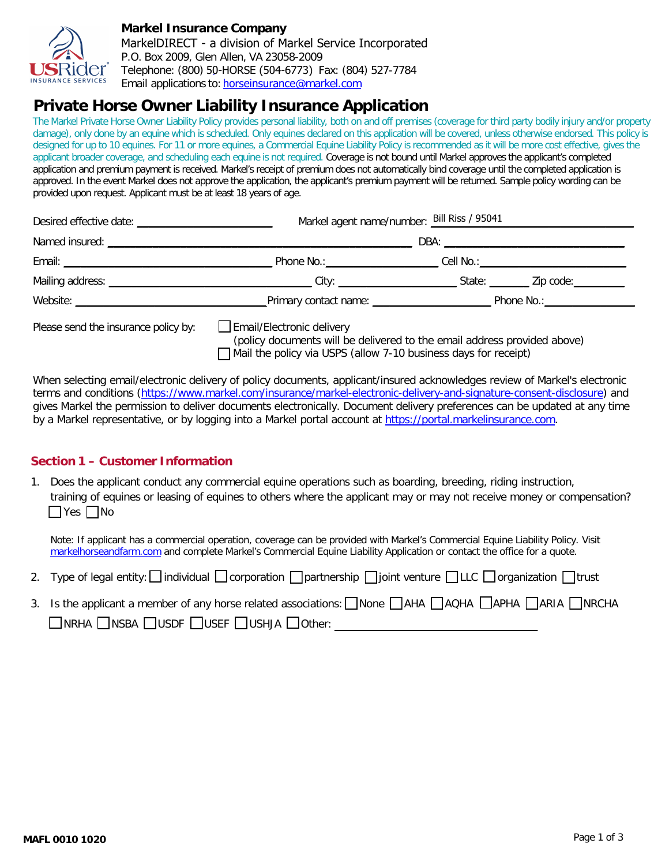

### **Markel Insurance Company**

MarkelDIRECT - a division of Markel Service Incorporated P.O. Box 2009, Glen Allen, VA 23058-2009 Telephone: (800) 5[0-HORSE \(504-6773\)](mailto:agapplications@markelcorp.com) Fax: (804) 527-7784 Email applications to: [horseinsuran](http://www.markelhorseandfarm.com/)ce@markel.com

# **Private Horse Owner Liability Insurance Application**

The Markel Private Horse Owner Liability Policy provides personal liability, both on and off premises (coverage for third party bodily injury and/or property damage), only done by an equine which is scheduled. Only equines declared on this application will be covered, unless otherwise endorsed. This policy is designed for up to 10 equines. For 11 or more equines, a Commercial Equine Liability Policy is recommended as it will be more cost effective, gives the applicant broader coverage, and scheduling each equine is not required. Coverage is not bound until Markel approves the applicant's completed application and premium payment is received. Markel's receipt of premium does not automatically bind coverage until the completed application is approved. In the event Markel does not approve the application, the applicant's premium payment will be returned. Sample policy wording can be provided upon request. Applicant must be at least 18 years of age.

|                                      | Markel agent name/number: Bill Riss / 95041                                                                                                                              |  |  |  |  |
|--------------------------------------|--------------------------------------------------------------------------------------------------------------------------------------------------------------------------|--|--|--|--|
|                                      |                                                                                                                                                                          |  |  |  |  |
|                                      |                                                                                                                                                                          |  |  |  |  |
|                                      |                                                                                                                                                                          |  |  |  |  |
|                                      |                                                                                                                                                                          |  |  |  |  |
| Please send the insurance policy by: | Email/Electronic delivery<br>(policy documents will be delivered to the email address provided above)<br>Mail the policy via USPS (allow 7-10 business days for receipt) |  |  |  |  |

When selecting email/electronic delivery of policy documents, applicant/insured acknowledges review of Markel's electronic terms and conditions [\(https://www.markel.com/insurance/markel-electronic-delivery-and-signature-consent-disclosure\)](https://www.markel.com/insurance/markel-electronic-delivery-and-signature-consent-disclosure) and gives Markel the permission to deliver documents electronically. Document delivery preferences can be updated at any time by a Markel representative, or by logging into a Markel portal account at [https://portal.markelinsurance.com.](https://portal.markelinsurance.com/)

## **Section 1 – Customer Information**

1. Does the applicant conduct any commercial equine operations such as boarding, breeding, riding instruction, training of equines or leasing of equines to others where the applicant may or may not receive money or compensation?  $\Box$ Yes  $\Box$ No

Note: If applicant has a commercial operation, coverage can be provided with Markel's Commercial Equine Liability Policy. Visit [markelhorseandfarm.com](http://www.markelhorseandfarm.com/) and complete Markel's Commercial Equine Liability Application or contact the office for a quote.

- 2. Type of legal entity:  $\Box$  individual  $\Box$  corporation  $\Box$  partnership  $\Box$  joint venture  $\Box$  LLC  $\Box$  organization  $\Box$  trust
- 3. Is the applicant a member of any horse related associations: None MAHA NAQHA APHA NARIA NRCHA  $\Box$ NRHA  $\Box$ NSBA  $\Box$ USDF  $\Box$ USEF  $\Box$ USHJA  $\Box$ Other: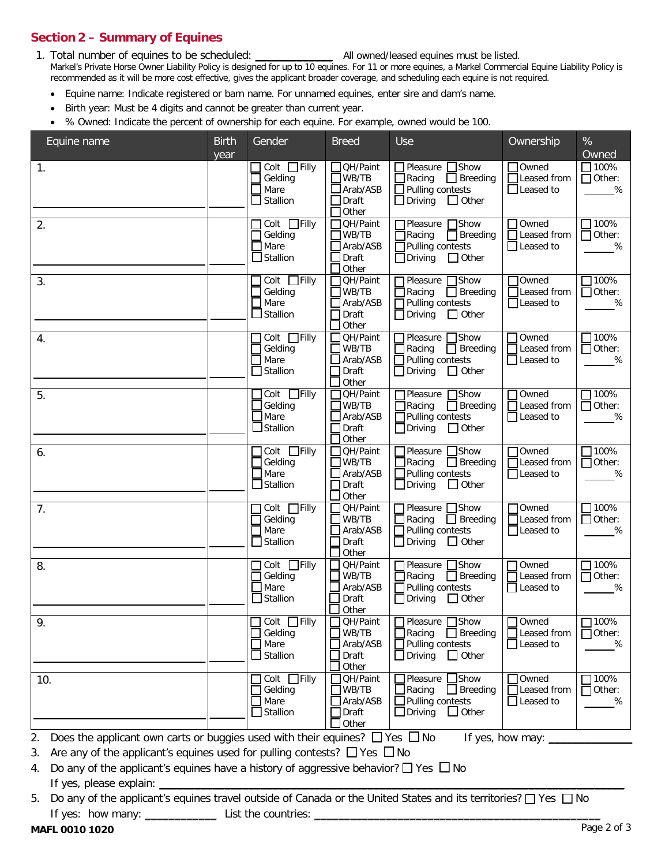# **Section 2 – Summary of Equines**

1. Total number of equines to be scheduled: \_\_\_\_\_\_\_\_\_\_\_\_\_\_\_\_\_\_\_\_\_\_\_ All owned/leased equines must be listed. Markel's Private Horse Owner Liability Policy is designed for up to 10 equines. For 11 or more equines, a Markel Commercial Equine Liability Policy is recommended as it will be more cost effective, gives the applicant broader coverage, and scheduling each equine is not required.

- Equine name: Indicate registered or barn name. For unnamed equines, enter sire and dam's name.
- Birth year: Must be 4 digits and cannot be greater than current year.
- % Owned: Indicate the percent of ownership for each equine. For example, owned would be 100.

| Equine name                                                                                                                                                                                                                                                                                                                                                                                                                                        | <b>Birth</b><br>year | Gender                                                                | <b>Breed</b>                                                       | Use                                                                                                                                | Ownership                                               | $\%$<br>Owned                                   |
|----------------------------------------------------------------------------------------------------------------------------------------------------------------------------------------------------------------------------------------------------------------------------------------------------------------------------------------------------------------------------------------------------------------------------------------------------|----------------------|-----------------------------------------------------------------------|--------------------------------------------------------------------|------------------------------------------------------------------------------------------------------------------------------------|---------------------------------------------------------|-------------------------------------------------|
| $\mathbf{1}$ .                                                                                                                                                                                                                                                                                                                                                                                                                                     |                      | $Colt$ Filly<br>Gelding<br>Mare<br>Stallion                           | <b>QH/Paint</b><br>$\Box$ WB/TB<br>$\Box$ Arab/ASB<br>$\Box$ Draft | 1Pleasure □ Show<br>Racing<br>$\Box$ Breeding<br>Pulling contests<br>$\Box$ Other<br>$\Box$ Driving                                | $\Box$ Owned<br>Leased from<br>$\Box$ Leased to         | $\Box$ 100%<br>$\Box$ Other:<br>%               |
| 2.                                                                                                                                                                                                                                                                                                                                                                                                                                                 |                      | Colt Filly<br>Gelding<br>$\Box$ Mare<br>$\Box$ Stallion               | Other<br>QH/Paint<br>WB/TB<br>Arab/ASB<br>Draft<br>Other           | <b>T</b> Pleasure □Show<br>$\Box$ Racing<br>$\Box$ Breeding<br>$\Box$ Pulling contests<br>$\Box$ Driving<br>$\Box$ Other           | Owned<br>Leased from<br>Leased to                       | $\square$ 100%<br>$\Box$ Other:<br>%            |
| 3.                                                                                                                                                                                                                                                                                                                                                                                                                                                 |                      | Colt □Filly<br>Gelding<br>Mare<br>$\Box$ Stallion                     | QH/Paint<br>WB/TB<br>$\Box$ Arab/ASB<br>Draft<br>Other             | $\Box$ Show<br>Pleasure<br>Racing<br>$\Box$ Breeding<br>$\Box$ Pulling contests<br>$\Box$ Other<br>$\Box$ Driving                  | <b>TOwned</b><br>$\Box$ Leased from<br>$\Box$ Leased to | 100%<br>$\Box$ Other:<br>$\%$                   |
| 4.                                                                                                                                                                                                                                                                                                                                                                                                                                                 |                      | $\overline{\Box}$ Filly<br>Colt<br>Gelding<br>Mare<br>Stallion        | QH/Paint<br>$J$ WB/TB<br>Arab/ASB<br>Draft<br>Other                | Pleasure □ Show<br>Racing <b>Breeding</b><br>Pulling contests<br>Driving<br>$\Box$ Other                                           | Owned<br>Leased from<br>$\Box$ Leased to                | $\Box$ 100%<br>$\Box$ Other:<br>%               |
| 5.                                                                                                                                                                                                                                                                                                                                                                                                                                                 |                      | $\Box$ Filly<br>Colt<br>Gelding<br>Mare<br>Stallion                   | QH/Paint<br>WB/TB<br>Arab/ASB<br>Draft<br>Other                    | Pleasure<br><b>T</b> Show<br>$\Box$ Racing<br>$\Box$ Breeding<br>$\Box$ Pulling contests<br>$\Box$ Driving<br>$\Box$ Other         | Owned<br>Leased from<br>Leased to                       | $\square$ 100%<br>$\Box$ Other:<br>%            |
| 6.                                                                                                                                                                                                                                                                                                                                                                                                                                                 |                      | Colt Filly<br>Gelding<br>Mare<br>Stallion                             | QH/Paint<br>WB/TB<br>Arab/ASB<br>Draft<br>Other                    | Pleasure<br><b>Show</b><br>$\Box$ Racing<br>$\Box$ Breeding<br>$\Box$ Pulling contests<br>$\Box$ Other<br>$\Box$ Driving           | Owned<br>Leased from<br>$\Box$ Leased to                | 100%<br>$\Box$ Other:<br>$\%$                   |
| 7.                                                                                                                                                                                                                                                                                                                                                                                                                                                 |                      | $\Box$ Filly<br>Colt<br>Gelding<br>Mare<br>Stallion                   | QH/Paint<br>$J$ WB/TB<br>Arab/ASB<br>Draft<br>Other                | <b>T</b> Pleasure □ Show<br>Racing $\Box$ Breeding<br>Pulling contests<br>Driving<br>$\Box$ Other                                  | $\Box$ Owned<br>$\Box$ Leased from<br>$\Box$ Leased to  | $\Box$ 100%<br>$\Box$ Other:<br>%               |
| 8.                                                                                                                                                                                                                                                                                                                                                                                                                                                 |                      | $Colt$ Filly<br>Gelding<br>$\Box$ Mare<br>$\Box$ Stallion             | QH/Paint<br>WB/TB<br>Arab/ASB<br>Draft<br>Other                    | Pleasure<br><b>Show</b><br>$\overline{\mathsf{J}}$ Racing<br>$\Box$ Breeding<br>Pulling contests<br>$\Box$ Other<br>$\Box$ Driving | Owned<br>Leased from<br>Leased to                       | $\square$ 100%<br>$\overline{\Box}$ Other:<br>% |
| $\mathsf{Q}$                                                                                                                                                                                                                                                                                                                                                                                                                                       |                      | $\Box$ Colt $\Box$ Filly<br>$\Box$ Gelding<br>$\Box$ Mare<br>Stallion | QH/Paint<br>$\Box$ WB/TB<br>Arab/ASB<br>Draft<br>Other             | □Pleasure □Show<br>Racing<br>$\Box$ Breeding<br>Pulling contests<br>$\Box$ Other<br>$\Box$ Driving                                 | Owned<br>Leased from<br>$\Box$ Leased to                | $\Box$ 100%<br>$\Box$ Other:<br>%               |
| 10.                                                                                                                                                                                                                                                                                                                                                                                                                                                |                      | Colt $\Box$ Filly<br>Gelding<br>Mare<br>Stallion                      | <b>QH/Paint</b><br>$\Box$ WB/TB<br>Arab/ASB<br>Draft<br>Other      | $\exists$ Show<br>Pleasure<br>Racing<br>$\Box$ Breeding<br>Pulling contests<br>$\Box$ Driving<br>$\Box$ Other                      | Owned<br>Leased from<br>□Leased to                      | 7100%<br>$\Box$ Other:<br>%                     |
| Does the applicant own carts or buggies used with their equines? $\Box$ Yes $\Box$ No<br>2.<br>Are any of the applicant's equines used for pulling contests? $\Box$ Yes $\Box$ No<br>3.<br>Do any of the applicant's equines have a history of aggressive behavior? $\Box$ Yes $\Box$ No<br>4.<br>If yes, please explain:<br>Do any of the applicant's equines travel outside of Canada or the United States and its territories? □ Yes □ No<br>5. |                      |                                                                       |                                                                    |                                                                                                                                    | If yes, how may:                                        |                                                 |
|                                                                                                                                                                                                                                                                                                                                                                                                                                                    |                      | List the countries:                                                   |                                                                    |                                                                                                                                    |                                                         |                                                 |